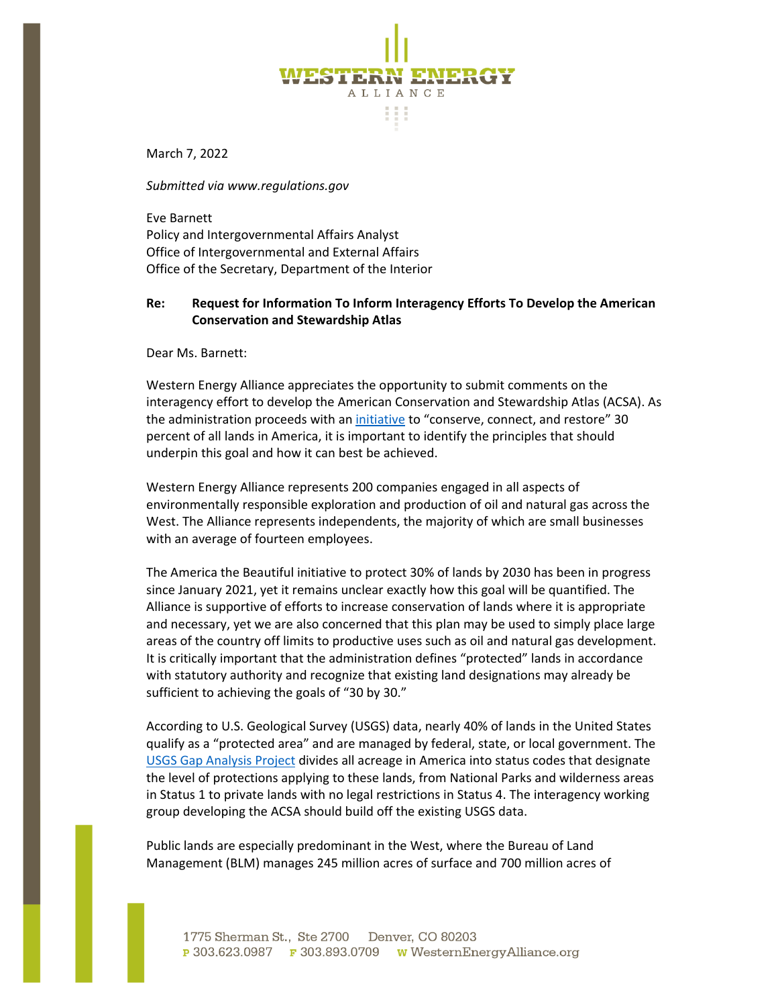

March 7, 2022

*Submitted via www.regulations.gov*

Eve Barnett Policy and Intergovernmental Affairs Analyst Office of Intergovernmental and External Affairs Office of the Secretary, Department of the Interior

## **Re: Request for Information To Inform Interagency Efforts To Develop the American Conservation and Stewardship Atlas**

Dear Ms. Barnett:

Western Energy Alliance appreciates the opportunity to submit comments on the interagency effort to develop the American Conservation and Stewardship Atlas (ACSA). As the administration proceeds with an [initiative](https://www.doi.gov/priorities/america-the-beautiful) to "conserve, connect, and restore" 30 percent of all lands in America, it is important to identify the principles that should underpin this goal and how it can best be achieved.

Western Energy Alliance represents 200 companies engaged in all aspects of environmentally responsible exploration and production of oil and natural gas across the West. The Alliance represents independents, the majority of which are small businesses with an average of fourteen employees.

The America the Beautiful initiative to protect 30% of lands by 2030 has been in progress since January 2021, yet it remains unclear exactly how this goal will be quantified. The Alliance is supportive of efforts to increase conservation of lands where it is appropriate and necessary, yet we are also concerned that this plan may be used to simply place large areas of the country off limits to productive uses such as oil and natural gas development. It is critically important that the administration defines "protected" lands in accordance with statutory authority and recognize that existing land designations may already be sufficient to achieving the goals of "30 by 30."

According to U.S. Geological Survey (USGS) data, nearly 40% of lands in the United States qualify as a "protected area" and are managed by federal, state, or local government. The [USGS Gap Analysis Project](https://www.usgs.gov/programs/gap-analysis-project/science/pad-us-data-overview) divides all acreage in America into status codes that designate the level of protections applying to these lands, from National Parks and wilderness areas in Status 1 to private lands with no legal restrictions in Status 4. The interagency working group developing the ACSA should build off the existing USGS data.

Public lands are especially predominant in the West, where the Bureau of Land Management (BLM) manages 245 million acres of surface and 700 million acres of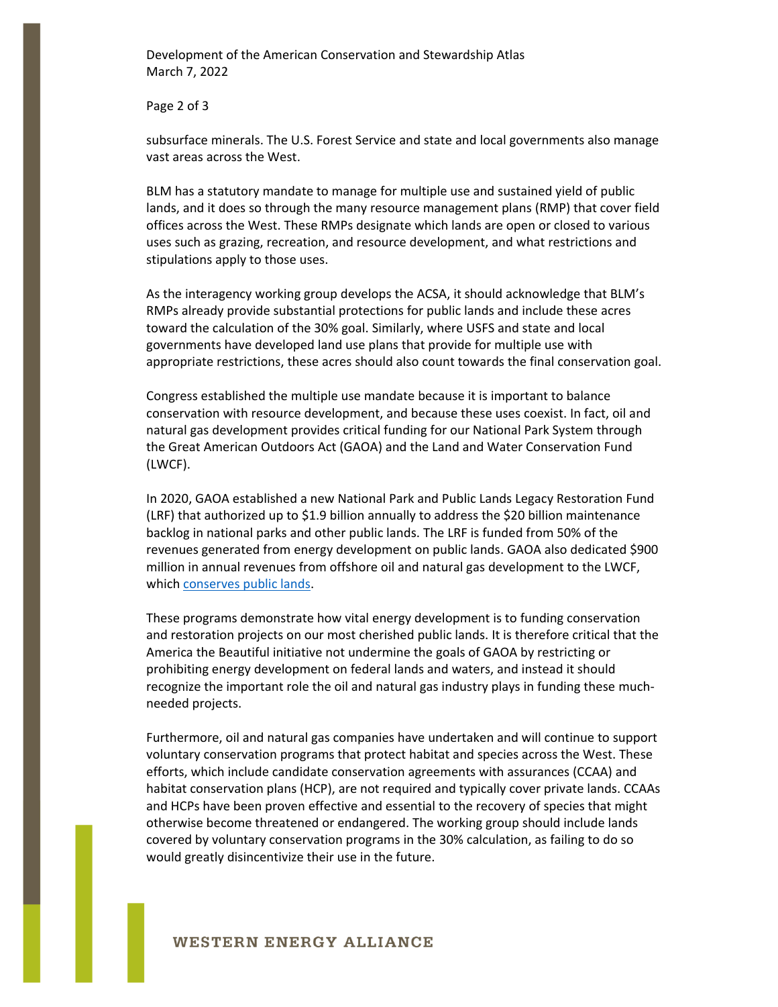Development of the American Conservation and Stewardship Atlas March 7, 2022

Page 2 of 3

subsurface minerals. The U.S. Forest Service and state and local governments also manage vast areas across the West.

BLM has a statutory mandate to manage for multiple use and sustained yield of public lands, and it does so through the many resource management plans (RMP) that cover field offices across the West. These RMPs designate which lands are open or closed to various uses such as grazing, recreation, and resource development, and what restrictions and stipulations apply to those uses.

As the interagency working group develops the ACSA, it should acknowledge that BLM's RMPs already provide substantial protections for public lands and include these acres toward the calculation of the 30% goal. Similarly, where USFS and state and local governments have developed land use plans that provide for multiple use with appropriate restrictions, these acres should also count towards the final conservation goal.

Congress established the multiple use mandate because it is important to balance conservation with resource development, and because these uses coexist. In fact, oil and natural gas development provides critical funding for our National Park System through the Great American Outdoors Act (GAOA) and the Land and Water Conservation Fund (LWCF).

In 2020, GAOA established a new National Park and Public Lands Legacy Restoration Fund (LRF) that authorized up to \$1.9 billion annually to address the \$20 billion maintenance backlog in national parks and other public lands. The LRF is funded from 50% of the revenues generated from energy development on public lands. GAOA also dedicated \$900 million in annual revenues from offshore oil and natural gas development to the LWCF, which [conserves public lands.](https://www.nps.gov/subjects/lwcf/index.htm)

These programs demonstrate how vital energy development is to funding conservation and restoration projects on our most cherished public lands. It is therefore critical that the America the Beautiful initiative not undermine the goals of GAOA by restricting or prohibiting energy development on federal lands and waters, and instead it should recognize the important role the oil and natural gas industry plays in funding these muchneeded projects.

Furthermore, oil and natural gas companies have undertaken and will continue to support voluntary conservation programs that protect habitat and species across the West. These efforts, which include candidate conservation agreements with assurances (CCAA) and habitat conservation plans (HCP), are not required and typically cover private lands. CCAAs and HCPs have been proven effective and essential to the recovery of species that might otherwise become threatened or endangered. The working group should include lands covered by voluntary conservation programs in the 30% calculation, as failing to do so would greatly disincentivize their use in the future.

## **WESTERN ENERGY ALLIANCE**